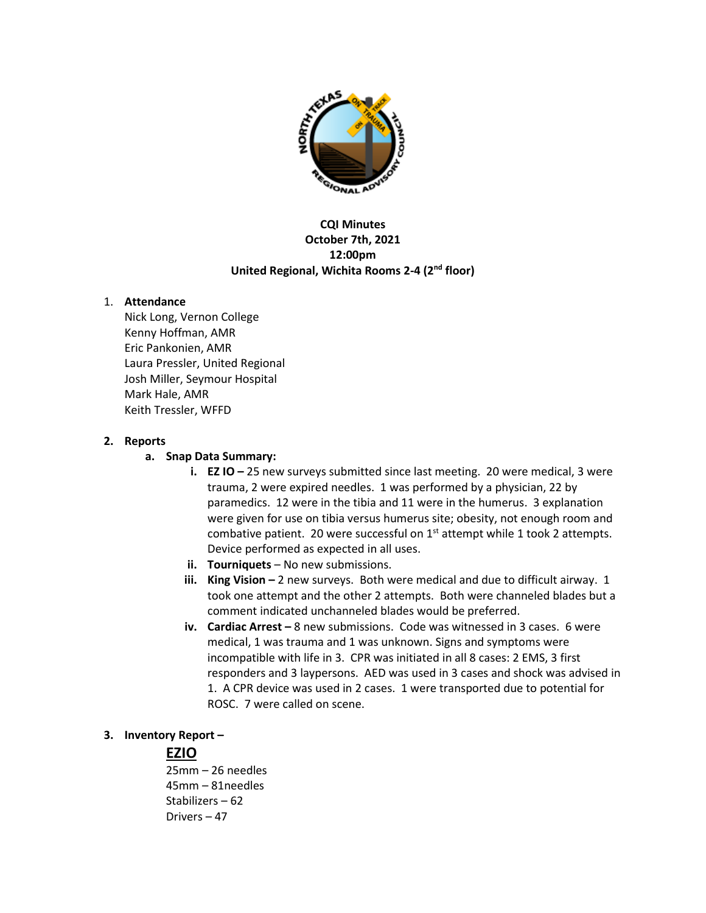

### **CQI Minutes October 7th, 2021 12:00pm United Regional, Wichita Rooms 2-4 (2nd floor)**

### 1. **Attendance**

Nick Long, Vernon College Kenny Hoffman, AMR Eric Pankonien, AMR Laura Pressler, United Regional Josh Miller, Seymour Hospital Mark Hale, AMR Keith Tressler, WFFD

### **2. Reports**

### **a. Snap Data Summary:**

- **i. EZ IO** 25 new surveys submitted since last meeting. 20 were medical, 3 were trauma, 2 were expired needles.1 was performed by a physician, 22 by paramedics. 12 were in the tibia and 11 were in the humerus. 3 explanation were given for use on tibia versus humerus site; obesity, not enough room and combative patient. 20 were successful on  $1<sup>st</sup>$  attempt while 1 took 2 attempts. Device performed as expected in all uses.
- **ii. Tourniquets** No new submissions.
- **iii. King Vision –** 2 new surveys. Both were medical and due to difficult airway. 1 took one attempt and the other 2 attempts. Both were channeled blades but a comment indicated unchanneled blades would be preferred.
- **iv. Cardiac Arrest** 8 new submissions. Code was witnessed in 3 cases. 6 were medical, 1 was trauma and 1 was unknown. Signs and symptoms were incompatible with life in 3. CPR was initiated in all 8 cases: 2 EMS, 3 first responders and 3 laypersons. AED was used in 3 cases and shock was advised in 1. A CPR device was used in 2 cases. 1 were transported due to potential for ROSC. 7 were called on scene.

## **3. Inventory Report –**

## **EZIO**

25mm – 26 needles 45mm – 81needles Stabilizers – 62 Drivers – 47